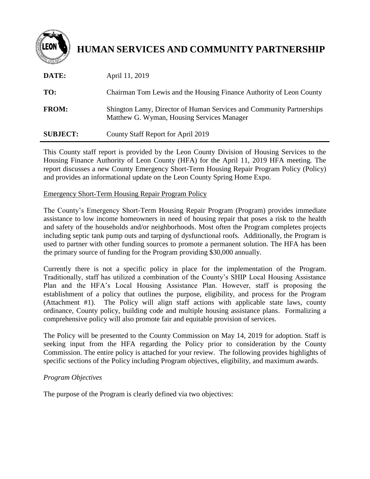

# **HUMAN SERVICES AND COMMUNITY PARTNERSHIP**

| DATE:           | April 11, 2019                                                                                                     |
|-----------------|--------------------------------------------------------------------------------------------------------------------|
| TO:             | Chairman Tom Lewis and the Housing Finance Authority of Leon County                                                |
| <b>FROM:</b>    | Shington Lamy, Director of Human Services and Community Partnerships<br>Matthew G. Wyman, Housing Services Manager |
| <b>SUBJECT:</b> | County Staff Report for April 2019                                                                                 |

This County staff report is provided by the Leon County Division of Housing Services to the Housing Finance Authority of Leon County (HFA) for the April 11, 2019 HFA meeting. The report discusses a new County Emergency Short-Term Housing Repair Program Policy (Policy) and provides an informational update on the Leon County Spring Home Expo.

#### Emergency Short-Term Housing Repair Program Policy

The County's Emergency Short-Term Housing Repair Program (Program) provides immediate assistance to low income homeowners in need of housing repair that poses a risk to the health and safety of the households and/or neighborhoods. Most often the Program completes projects including septic tank pump outs and tarping of dysfunctional roofs. Additionally, the Program is used to partner with other funding sources to promote a permanent solution. The HFA has been the primary source of funding for the Program providing \$30,000 annually.

Currently there is not a specific policy in place for the implementation of the Program. Traditionally, staff has utilized a combination of the County's SHIP Local Housing Assistance Plan and the HFA's Local Housing Assistance Plan. However, staff is proposing the establishment of a policy that outlines the purpose, eligibility, and process for the Program (Attachment #1). The Policy will align staff actions with applicable state laws, county ordinance, County policy, building code and multiple housing assistance plans. Formalizing a comprehensive policy will also promote fair and equitable provision of services.

The Policy will be presented to the County Commission on May 14, 2019 for adoption. Staff is seeking input from the HFA regarding the Policy prior to consideration by the County Commission. The entire policy is attached for your review. The following provides highlights of specific sections of the Policy including Program objectives, eligibility, and maximum awards.

## *Program Objectives*

The purpose of the Program is clearly defined via two objectives: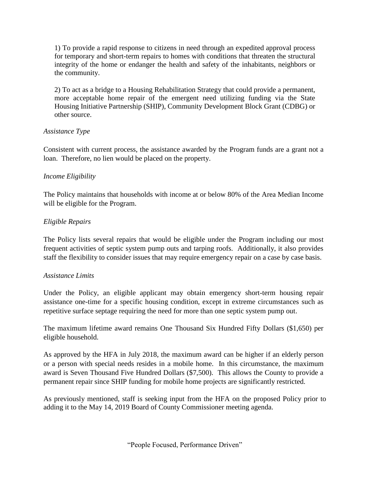1) To provide a rapid response to citizens in need through an expedited approval process for temporary and short-term repairs to homes with conditions that threaten the structural integrity of the home or endanger the health and safety of the inhabitants, neighbors or the community.

2) To act as a bridge to a Housing Rehabilitation Strategy that could provide a permanent, more acceptable home repair of the emergent need utilizing funding via the State Housing Initiative Partnership (SHIP), Community Development Block Grant (CDBG) or other source.

## *Assistance Type*

Consistent with current process, the assistance awarded by the Program funds are a grant not a loan. Therefore, no lien would be placed on the property.

## *Income Eligibility*

The Policy maintains that households with income at or below 80% of the Area Median Income will be eligible for the Program.

## *Eligible Repairs*

The Policy lists several repairs that would be eligible under the Program including our most frequent activities of septic system pump outs and tarping roofs. Additionally, it also provides staff the flexibility to consider issues that may require emergency repair on a case by case basis.

## *Assistance Limits*

Under the Policy, an eligible applicant may obtain emergency short-term housing repair assistance one-time for a specific housing condition, except in extreme circumstances such as repetitive surface septage requiring the need for more than one septic system pump out.

The maximum lifetime award remains One Thousand Six Hundred Fifty Dollars (\$1,650) per eligible household.

As approved by the HFA in July 2018, the maximum award can be higher if an elderly person or a person with special needs resides in a mobile home. In this circumstance, the maximum award is Seven Thousand Five Hundred Dollars (\$7,500). This allows the County to provide a permanent repair since SHIP funding for mobile home projects are significantly restricted.

As previously mentioned, staff is seeking input from the HFA on the proposed Policy prior to adding it to the May 14, 2019 Board of County Commissioner meeting agenda.